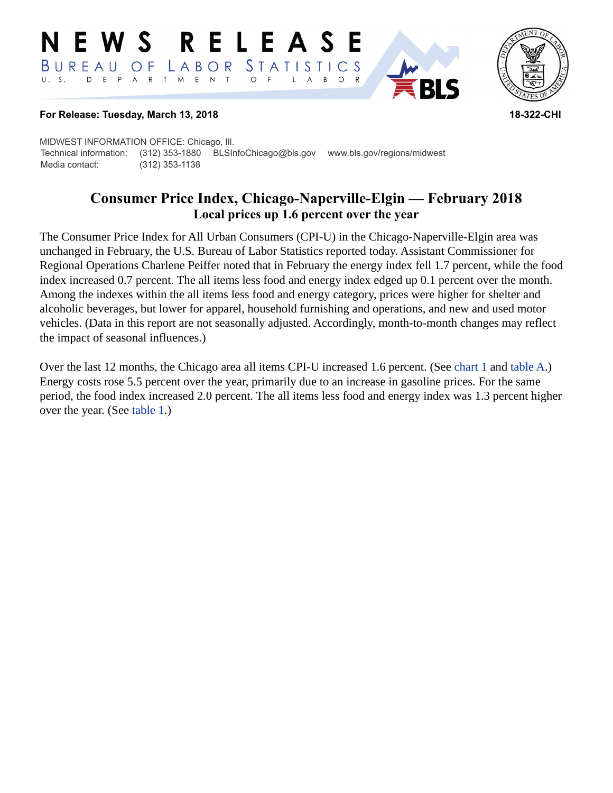#### E W S **RELEASE** STATISTICS BUREAU O F LABOR D E P A R T M E N T  $\circ$  $B$  $\circ$  $\mathsf{L}$  $\overline{A}$



### **For Release: Tuesday, March 13, 2018 18-322-CHI**

MIDWEST INFORMATION OFFICE: Chicago, Ill. Technical information: (312) 353-1880 BLSInfoChicago@bls.gov www.bls.gov/regions/midwest Media contact: (312) 353-1138

# **Consumer Price Index, Chicago-Naperville-Elgin — February 2018 Local prices up 1.6 percent over the year**

The Consumer Price Index for All Urban Consumers (CPI-U) in the Chicago-Naperville-Elgin area was unchanged in February, the U.S. Bureau of Labor Statistics reported today. Assistant Commissioner for Regional Operations Charlene Peiffer noted that in February the energy index fell 1.7 percent, while the food index increased 0.7 percent. The all items less food and energy index edged up 0.1 percent over the month. Among the indexes within the all items less food and energy category, prices were higher for shelter and alcoholic beverages, but lower for apparel, household furnishing and operations, and new and used motor vehicles. (Data in this report are not seasonally adjusted. Accordingly, month-to-month changes may reflect the impact of seasonal influences.)

Over the last 12 months, the Chicago area all items CPI-U increased 1.6 percent. (See [chart 1](#page-1-0) and [table A](#page-2-0).) Energy costs rose 5.5 percent over the year, primarily due to an increase in gasoline prices. For the same period, the food index increased 2.0 percent. The all items less food and energy index was 1.3 percent higher over the year. (See [table 1](#page-4-0).)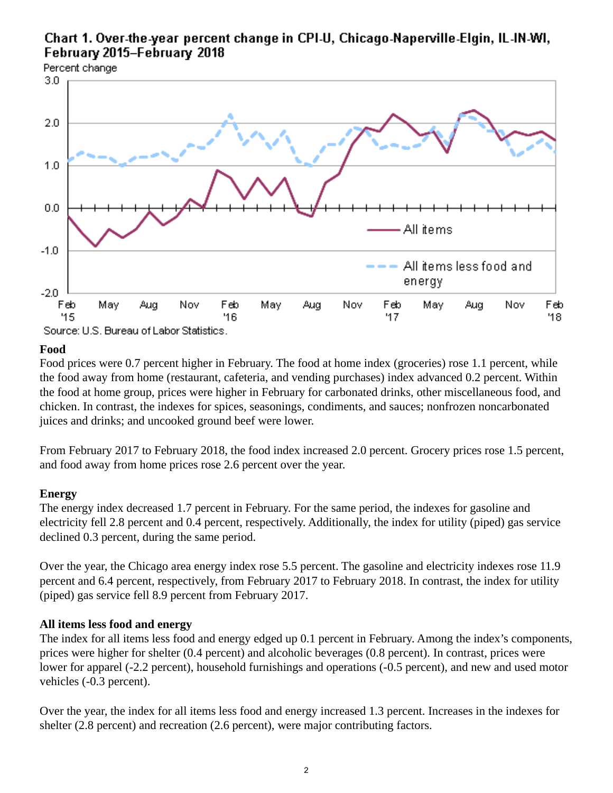# <span id="page-1-0"></span>Chart 1. Over-the-year percent change in CPI-U, Chicago-Naperville-Elgin, IL-IN-WI, February 2015-February 2018



### **Food**

Food prices were 0.7 percent higher in February. The food at home index (groceries) rose 1.1 percent, while the food away from home (restaurant, cafeteria, and vending purchases) index advanced 0.2 percent. Within the food at home group, prices were higher in February for carbonated drinks, other miscellaneous food, and chicken. In contrast, the indexes for spices, seasonings, condiments, and sauces; nonfrozen noncarbonated juices and drinks; and uncooked ground beef were lower.

From February 2017 to February 2018, the food index increased 2.0 percent. Grocery prices rose 1.5 percent, and food away from home prices rose 2.6 percent over the year.

### **Energy**

The energy index decreased 1.7 percent in February. For the same period, the indexes for gasoline and electricity fell 2.8 percent and 0.4 percent, respectively. Additionally, the index for utility (piped) gas service declined 0.3 percent, during the same period.

Over the year, the Chicago area energy index rose 5.5 percent. The gasoline and electricity indexes rose 11.9 percent and 6.4 percent, respectively, from February 2017 to February 2018. In contrast, the index for utility (piped) gas service fell 8.9 percent from February 2017.

### **All items less food and energy**

The index for all items less food and energy edged up 0.1 percent in February. Among the index's components, prices were higher for shelter (0.4 percent) and alcoholic beverages (0.8 percent). In contrast, prices were lower for apparel (-2.2 percent), household furnishings and operations (-0.5 percent), and new and used motor vehicles (-0.3 percent).

Over the year, the index for all items less food and energy increased 1.3 percent. Increases in the indexes for shelter (2.8 percent) and recreation (2.6 percent), were major contributing factors.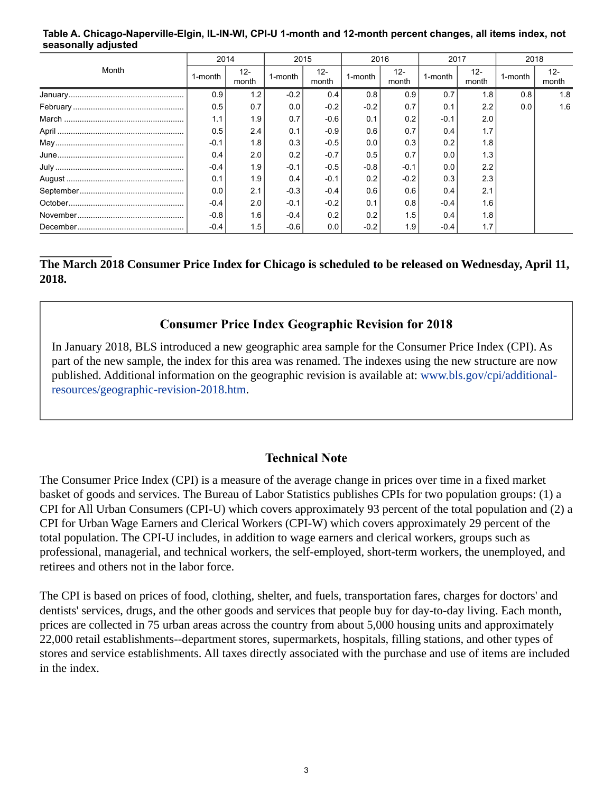#### <span id="page-2-0"></span>**Table A. Chicago-Naperville-Elgin, IL-IN-WI, CPI-U 1-month and 12-month percent changes, all items index, not seasonally adjusted**

| Month          | 2014    |                 | 2015    |                 | 2016    |                 | 2017    |                 | 2018    |                 |
|----------------|---------|-----------------|---------|-----------------|---------|-----------------|---------|-----------------|---------|-----------------|
|                | 1-month | $12 -$<br>month | 1-month | $12 -$<br>month | 1-month | $12 -$<br>month | 1-month | $12 -$<br>month | 1-month | $12 -$<br>month |
|                | 0.9     | 1.2             | $-0.2$  | 0.4             | 0.8     | 0.9             | 0.7     | 1.8             | 0.8     | 1.8             |
|                | 0.5     | 0.7             | 0.0     | $-0.2$          | $-0.2$  | 0.7             | 0.1     | 2.2             | 0.0     | 1.6             |
|                | 1.1     | 1.9             | 0.7     | $-0.6$          | 0.1     | 0.2             | $-0.1$  | 2.0             |         |                 |
|                | 0.5     | 2.4             | 0.1     | $-0.9$          | 0.6     | 0.7             | 0.4     | 1.7             |         |                 |
|                | $-0.1$  | 1.8             | 0.3     | $-0.5$          | 0.0     | 0.3             | 0.2     | 1.8             |         |                 |
| $June \dots 1$ | 0.4     | 2.0             | 0.2     | $-0.7$          | 0.5     | 0.7             | 0.0     | 1.3             |         |                 |
|                | $-0.4$  | 1.9             | $-0.1$  | $-0.5$          | $-0.8$  | $-0.1$          | 0.0     | 2.2             |         |                 |
|                | 0.1     | 1.9             | 0.4     | $-0.1$          | 0.2     | $-0.2$          | 0.3     | 2.3             |         |                 |
|                | 0.0     | 2.1             | $-0.3$  | $-0.4$          | 0.6     | 0.6             | 0.4     | 2.1             |         |                 |
|                | $-0.4$  | 2.0             | $-0.1$  | $-0.2$          | 0.1     | 0.8             | $-0.4$  | 1.6             |         |                 |
|                | $-0.8$  | 1.6             | $-0.4$  | 0.2             | 0.2     | 1.5             | 0.4     | 1.8             |         |                 |
|                | $-0.4$  | 1.5             | $-0.6$  | 0.0             | $-0.2$  | 1.9             | $-0.4$  |                 |         |                 |

# **The March 2018 Consumer Price Index for Chicago is scheduled to be released on Wednesday, April 11, 2018.**

# **Consumer Price Index Geographic Revision for 2018**

In January 2018, BLS introduced a new geographic area sample for the Consumer Price Index (CPI). As part of the new sample, the index for this area was renamed. The indexes using the new structure are now published. Additional information on the geographic revision is available at: [www.bls.gov/cpi/additional](https://www.bls.gov/cpi/additional-resources/geographic-revision-2018.htm)[resources/geographic-revision-2018.htm.](https://www.bls.gov/cpi/additional-resources/geographic-revision-2018.htm)

## **Technical Note**

The Consumer Price Index (CPI) is a measure of the average change in prices over time in a fixed market basket of goods and services. The Bureau of Labor Statistics publishes CPIs for two population groups: (1) a CPI for All Urban Consumers (CPI-U) which covers approximately 93 percent of the total population and (2) a CPI for Urban Wage Earners and Clerical Workers (CPI-W) which covers approximately 29 percent of the total population. The CPI-U includes, in addition to wage earners and clerical workers, groups such as professional, managerial, and technical workers, the self-employed, short-term workers, the unemployed, and retirees and others not in the labor force.

The CPI is based on prices of food, clothing, shelter, and fuels, transportation fares, charges for doctors' and dentists' services, drugs, and the other goods and services that people buy for day-to-day living. Each month, prices are collected in 75 urban areas across the country from about 5,000 housing units and approximately 22,000 retail establishments--department stores, supermarkets, hospitals, filling stations, and other types of stores and service establishments. All taxes directly associated with the purchase and use of items are included in the index.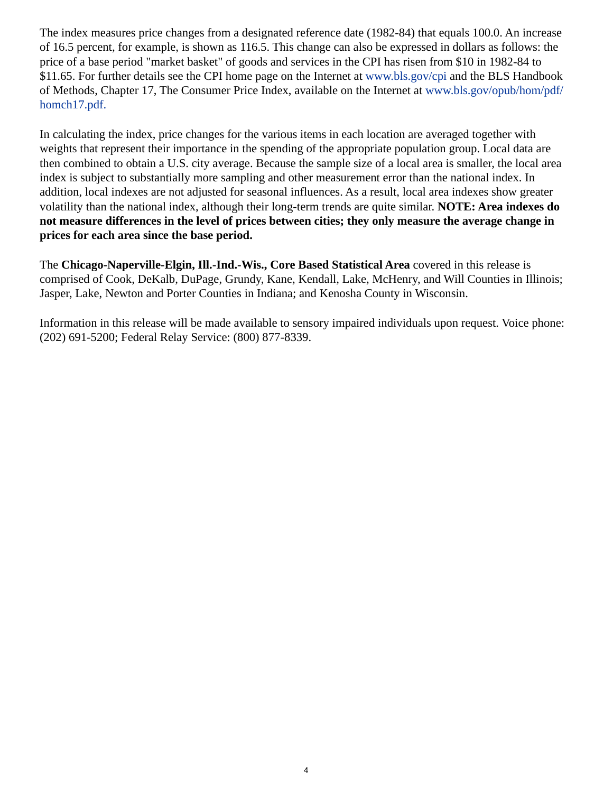The index measures price changes from a designated reference date (1982-84) that equals 100.0. An increase of 16.5 percent, for example, is shown as 116.5. This change can also be expressed in dollars as follows: the price of a base period "market basket" of goods and services in the CPI has risen from \$10 in 1982-84 to \$11.65. For further details see the CPI home page on the Internet at [www.bls.gov/cpi](https://www.bls.gov/cpi) and the BLS Handbook of Methods, Chapter 17, The Consumer Price Index, available on the Internet at [www.bls.gov/opub/hom/pdf/](https://www.bls.gov/opub/hom/pdf/homch17.pdf) [homch17.pdf.](https://www.bls.gov/opub/hom/pdf/homch17.pdf)

In calculating the index, price changes for the various items in each location are averaged together with weights that represent their importance in the spending of the appropriate population group. Local data are then combined to obtain a U.S. city average. Because the sample size of a local area is smaller, the local area index is subject to substantially more sampling and other measurement error than the national index. In addition, local indexes are not adjusted for seasonal influences. As a result, local area indexes show greater volatility than the national index, although their long-term trends are quite similar. **NOTE: Area indexes do not measure differences in the level of prices between cities; they only measure the average change in prices for each area since the base period.**

The **Chicago-Naperville-Elgin, Ill.-Ind.-Wis., Core Based Statistical Area** covered in this release is comprised of Cook, DeKalb, DuPage, Grundy, Kane, Kendall, Lake, McHenry, and Will Counties in Illinois; Jasper, Lake, Newton and Porter Counties in Indiana; and Kenosha County in Wisconsin.

Information in this release will be made available to sensory impaired individuals upon request. Voice phone: (202) 691-5200; Federal Relay Service: (800) 877-8339.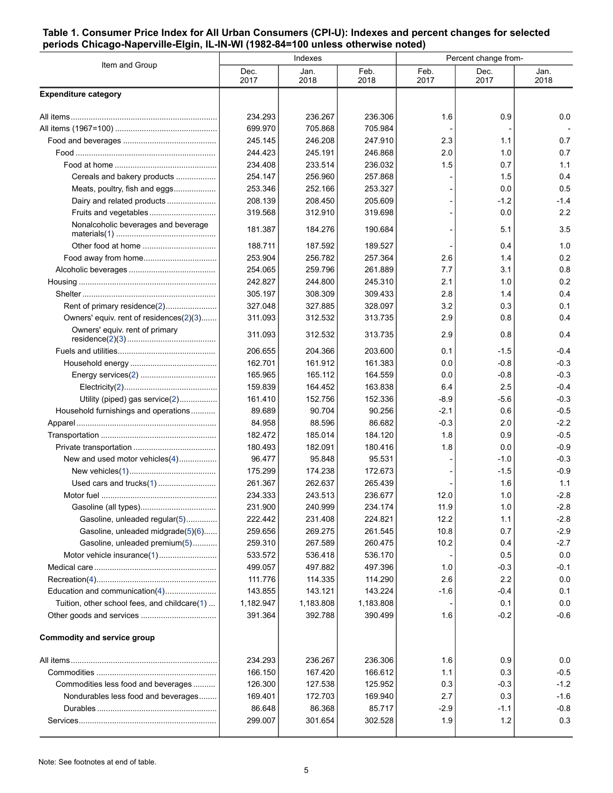### <span id="page-4-0"></span>**Table 1. Consumer Price Index for All Urban Consumers (CPI-U): Indexes and percent changes for selected periods Chicago-Naperville-Elgin, IL-IN-WI (1982-84=100 unless otherwise noted)**

|                                              |              | Indexes      |              | Percent change from- |              |              |  |
|----------------------------------------------|--------------|--------------|--------------|----------------------|--------------|--------------|--|
| Item and Group                               | Dec.<br>2017 | Jan.<br>2018 | Feb.<br>2018 | Feb.<br>2017         | Dec.<br>2017 | Jan.<br>2018 |  |
| <b>Expenditure category</b>                  |              |              |              |                      |              |              |  |
|                                              | 234.293      | 236.267      | 236.306      | 1.6                  | 0.9          | 0.0          |  |
|                                              | 699.970      | 705.868      | 705.984      |                      |              |              |  |
|                                              | 245.145      | 246.208      | 247.910      | 2.3                  | 1.1          | 0.7          |  |
|                                              | 244.423      | 245.191      | 246.868      | 2.0                  | 1.0          | 0.7          |  |
|                                              | 234.408      | 233.514      | 236.032      | 1.5                  | 0.7          | 1.1          |  |
| Cereals and bakery products                  | 254.147      | 256.960      | 257.868      |                      | 1.5          | 0.4          |  |
| Meats, poultry, fish and eggs                | 253.346      | 252.166      | 253.327      |                      | 0.0          | 0.5          |  |
| Dairy and related products                   | 208.139      | 208.450      | 205.609      |                      | $-1.2$       | $-1.4$       |  |
| Fruits and vegetables                        | 319.568      | 312.910      | 319.698      |                      | 0.0          | 2.2          |  |
| Nonalcoholic beverages and beverage          | 181.387      | 184.276      | 190.684      |                      | 5.1          | 3.5          |  |
|                                              | 188.711      | 187.592      | 189.527      |                      | 0.4          | 1.0          |  |
|                                              | 253.904      | 256.782      | 257.364      | 2.6                  | 1.4          | 0.2          |  |
|                                              | 254.065      | 259.796      | 261.889      | 7.7                  | 3.1          | 0.8          |  |
|                                              | 242.827      | 244.800      | 245.310      | 2.1                  | 1.0          | 0.2          |  |
|                                              | 305.197      | 308.309      | 309.433      | 2.8                  | 1.4          | 0.4          |  |
| Rent of primary residence(2)                 | 327.048      | 327.885      | 328.097      | 3.2                  | 0.3          | 0.1          |  |
| Owners' equiv. rent of residences(2)(3)      | 311.093      | 312.532      | 313.735      | 2.9                  | 0.8          | 0.4          |  |
| Owners' equiv. rent of primary               | 311.093      | 312.532      | 313.735      | 2.9                  | 0.8          | 0.4          |  |
|                                              | 206.655      | 204.366      | 203.600      | 0.1                  | $-1.5$       | $-0.4$       |  |
|                                              | 162.701      | 161.912      | 161.383      | 0.0                  | $-0.8$       | $-0.3$       |  |
|                                              | 165.965      | 165.112      | 164.559      | 0.0                  | $-0.8$       | $-0.3$       |  |
|                                              | 159.839      | 164.452      | 163.838      | 6.4                  | 2.5          | $-0.4$       |  |
| Utility (piped) gas service(2)               | 161.410      | 152.756      | 152.336      | $-8.9$               | -5.6         | $-0.3$       |  |
| Household furnishings and operations         | 89.689       | 90.704       | 90.256       | $-2.1$               | 0.6          | $-0.5$       |  |
|                                              | 84.958       | 88.596       | 86.682       | $-0.3$               | 2.0          | $-2.2$       |  |
|                                              | 182.472      | 185.014      | 184.120      | 1.8                  | 0.9          | $-0.5$       |  |
|                                              | 180.493      | 182.091      | 180.416      | 1.8                  | 0.0          | $-0.9$       |  |
| New and used motor vehicles(4)               | 96.477       | 95.848       | 95.531       |                      | $-1.0$       | $-0.3$       |  |
|                                              | 175.299      | 174.238      | 172.673      |                      | $-1.5$       | $-0.9$       |  |
|                                              | 261.367      | 262.637      | 265.439      |                      | 1.6          | 1.1          |  |
|                                              | 234.333      | 243.513      | 236.677      | 12.0                 | 1.0          | $-2.8$       |  |
|                                              | 231.900      | 240.999      | 234.174      | 11.9                 | 1.0          | $-2.8$       |  |
| Gasoline, unleaded regular(5)                | 222.442      | 231.408      | 224.821      | 12.2                 | 1.1          | $-2.8$       |  |
| Gasoline, unleaded midgrade(5)(6)            | 259.656      | 269.275      | 261.545      | 10.8                 | 0.7          | $-2.9$       |  |
| Gasoline, unleaded premium(5)                | 259.310      | 267.589      | 260.475      | 10.2                 | 0.4          | $-2.7$       |  |
|                                              | 533.572      | 536.418      | 536.170      |                      | 0.5          | 0.0          |  |
|                                              | 499.057      | 497.882      | 497.396      | 1.0                  | $-0.3$       | $-0.1$       |  |
|                                              | 111.776      | 114.335      | 114.290      | 2.6                  | 2.2          | 0.0          |  |
| Education and communication(4)               | 143.855      | 143.121      | 143.224      | $-1.6$               | -0.4         | 0.1          |  |
| Tuition, other school fees, and childcare(1) | 1,182.947    | 1,183.808    | 1,183.808    |                      | 0.1          | 0.0          |  |
|                                              | 391.364      | 392.788      | 390.499      | 1.6                  | $-0.2$       | $-0.6$       |  |
| <b>Commodity and service group</b>           |              |              |              |                      |              |              |  |
|                                              | 234.293      | 236.267      | 236.306      | 1.6                  | 0.9          | 0.0          |  |
|                                              | 166.150      | 167.420      | 166.612      | 1.1                  | 0.3          | $-0.5$       |  |
| Commodities less food and beverages          | 126.300      | 127.538      | 125.952      | 0.3                  | $-0.3$       | $-1.2$       |  |
| Nondurables less food and beverages          | 169.401      | 172.703      | 169.940      | 2.7                  | 0.3          | $-1.6$       |  |
|                                              | 86.648       | 86.368       | 85.717       | $-2.9$               | $-1.1$       | $-0.8$       |  |
|                                              | 299.007      | 301.654      | 302.528      | 1.9                  | 1.2          | 0.3          |  |